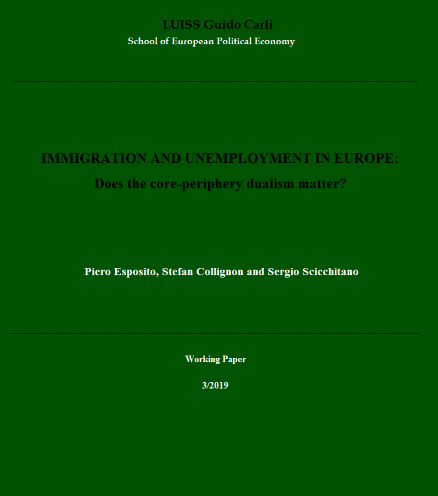### **LUISS Guido Carli**

**School of European Political Economy** 

# **IMMIGRATION AND UNEMPLOYMENT IN EUROPE:**

### Does the core-periphery dualism matter?

Piero Esposito, Stefan Collignon and Sergio Scicchitano

**Working Paper** 

3/2019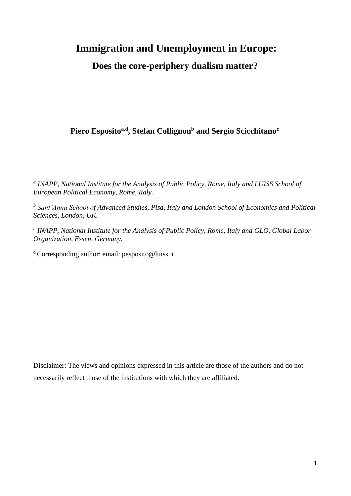# **Immigration and Unemployment in Europe:**

 **Does the core-periphery dualism matter?**

### **Piero Espositoa,d, Stefan Collignon<sup>b</sup> and Sergio Scicchitano<sup>c</sup>**

*a INAPP, National Institute for the Analysis of Public Policy, Rome, Italy and LUISS School of European Political Economy, Rome, Italy.*

*b Sant'Anna School of Advanced Studies, Pisa, Italy and London School of Economics and Political Sciences, London, UK.*

*c INAPP, National Institute for the Analysis of Public Policy, Rome, Italy and GLO, Global Labor Organization, Essen, Germany.*

 $d$  Corresponding author: email: pesposito@luiss.it.

Disclaimer: The views and opinions expressed in this article are those of the authors and do not necessarily reflect those of the institutions with which they are affiliated.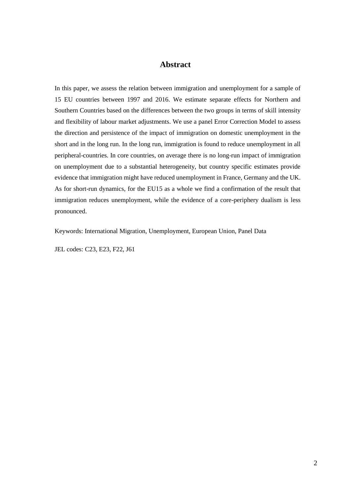### **Abstract**

In this paper, we assess the relation between immigration and unemployment for a sample of 15 EU countries between 1997 and 2016. We estimate separate effects for Northern and Southern Countries based on the differences between the two groups in terms of skill intensity and flexibility of labour market adjustments. We use a panel Error Correction Model to assess the direction and persistence of the impact of immigration on domestic unemployment in the short and in the long run. In the long run, immigration is found to reduce unemployment in all peripheral-countries. In core countries, on average there is no long-run impact of immigration on unemployment due to a substantial heterogeneity, but country specific estimates provide evidence that immigration might have reduced unemployment in France, Germany and the UK. As for short-run dynamics, for the EU15 as a whole we find a confirmation of the result that immigration reduces unemployment, while the evidence of a core-periphery dualism is less pronounced.

Keywords: International Migration, Unemployment, European Union, Panel Data

JEL codes: C23, E23, F22, J61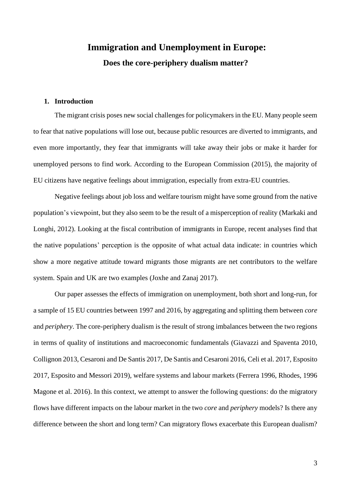# **Immigration and Unemployment in Europe: Does the core-periphery dualism matter?**

#### **1. Introduction**

The migrant crisis poses new social challenges for policymakers in the EU. Many people seem to fear that native populations will lose out, because public resources are diverted to immigrants, and even more importantly, they fear that immigrants will take away their jobs or make it harder for unemployed persons to find work. According to the European Commission (2015), the majority of EU citizens have negative feelings about immigration, especially from extra-EU countries.

Negative feelings about job loss and welfare tourism might have some ground from the native population's viewpoint, but they also seem to be the result of a misperception of reality (Markaki and Longhi, 2012). Looking at the fiscal contribution of immigrants in Europe, recent analyses find that the native populations' perception is the opposite of what actual data indicate: in countries which show a more negative attitude toward migrants those migrants are net contributors to the welfare system. Spain and UK are two examples (Joxhe and Zanaj 2017).

Our paper assesses the effects of immigration on unemployment, both short and long-run, for a sample of 15 EU countries between 1997 and 2016, by aggregating and splitting them between *core* and *periphery*. The core-periphery dualism is the result of strong imbalances between the two regions in terms of quality of institutions and macroeconomic fundamentals (Giavazzi and Spaventa 2010, Collignon 2013, Cesaroni and De Santis 2017, De Santis and Cesaroni 2016, Celi et al. 2017, Esposito 2017, Esposito and Messori 2019), welfare systems and labour markets (Ferrera 1996, Rhodes, 1996 Magone et al. 2016). In this context, we attempt to answer the following questions: do the migratory flows have different impacts on the labour market in the two *core* and *periphery* models? Is there any difference between the short and long term? Can migratory flows exacerbate this European dualism?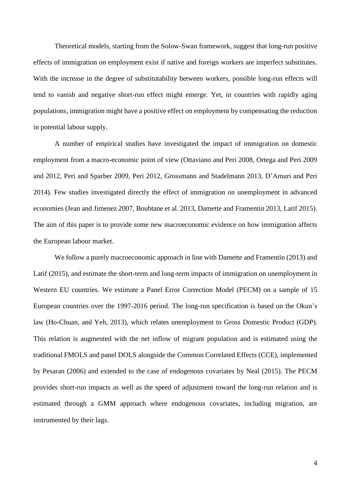Theoretical models, starting from the Solow-Swan framework, suggest that long-run positive effects of immigration on employment exist if native and foreign workers are imperfect substitutes. With the increase in the degree of substitutability between workers, possible long-run effects will tend to vanish and negative short-run effect might emerge. Yet, in countries with rapidly aging populations, immigration might have a positive effect on employment by compensating the reduction in potential labour supply.

A number of empirical studies have investigated the impact of immigration on domestic employment from a macro-economic point of view (Ottaviano and Peri 2008, Ortega and Peri 2009 and 2012, Peri and Sparber 2009, Peri 2012, Grossmann and Stadelmann 2013, D'Amuri and Peri 2014). Few studies investigated directly the effect of immigration on unemployment in advanced economies (Jean and Jimenez 2007, Boubtane et al. 2013, Damette and Framentin 2013, Latif 2015). The aim of this paper is to provide some new macroeconomic evidence on how immigration affects the European labour market.

We follow a purely macroeconomic approach in line with Damette and Framentin (2013) and Latif (2015), and estimate the short-term and long-term impacts of immigration on unemployment in Western EU countries. We estimate a Panel Error Correction Model (PECM) on a sample of 15 European countries over the 1997-2016 period. The long-run specification is based on the Okun's law (Ho-Chuan, and Yeh, 2013), which relates unemployment to Gross Domestic Product (GDP). This relation is augmented with the net inflow of migrant population and is estimated using the traditional FMOLS and panel DOLS alongside the Common Correlated Effects (CCE), implemented by Pesaran (2006) and extended to the case of endogenous covariates by Neal (2015). The PECM provides short-run impacts as well as the speed of adjustment toward the long-run relation and is estimated through a GMM approach where endogenous covariates, including migration, are instrumented by their lags.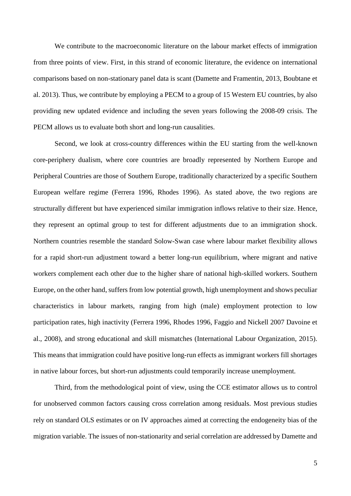We contribute to the macroeconomic literature on the labour market effects of immigration from three points of view. First, in this strand of economic literature, the evidence on international comparisons based on non-stationary panel data is scant (Damette and Framentin, 2013, Boubtane et al. 2013). Thus, we contribute by employing a PECM to a group of 15 Western EU countries, by also providing new updated evidence and including the seven years following the 2008-09 crisis. The PECM allows us to evaluate both short and long-run causalities.

Second, we look at cross-country differences within the EU starting from the well-known core-periphery dualism, where core countries are broadly represented by Northern Europe and Peripheral Countries are those of Southern Europe, traditionally characterized by a specific Southern European welfare regime (Ferrera 1996, Rhodes 1996). As stated above, the two regions are structurally different but have experienced similar immigration inflows relative to their size. Hence, they represent an optimal group to test for different adjustments due to an immigration shock. Northern countries resemble the standard Solow-Swan case where labour market flexibility allows for a rapid short-run adjustment toward a better long-run equilibrium, where migrant and native workers complement each other due to the higher share of national high-skilled workers. Southern Europe, on the other hand, suffers from low potential growth, high unemployment and shows peculiar characteristics in labour markets, ranging from high (male) employment protection to low participation rates, high inactivity (Ferrera 1996, Rhodes 1996, Faggio and Nickell 2007 Davoine et al., 2008), and strong educational and skill mismatches (International Labour Organization, 2015). This means that immigration could have positive long-run effects as immigrant workers fill shortages in native labour forces, but short-run adjustments could temporarily increase unemployment.

Third, from the methodological point of view, using the CCE estimator allows us to control for unobserved common factors causing cross correlation among residuals. Most previous studies rely on standard OLS estimates or on IV approaches aimed at correcting the endogeneity bias of the migration variable. The issues of non-stationarity and serial correlation are addressed by Damette and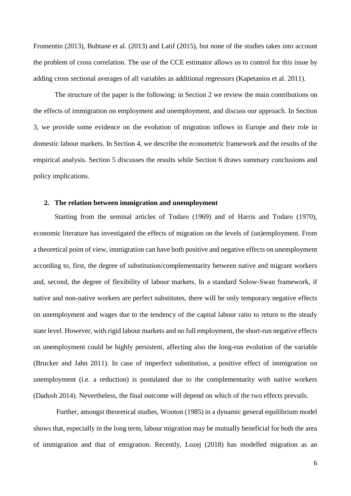Fromentin (2013), Bubtane et al. (2013) and Latif (2015), but none of the studies takes into account the problem of cross correlation. The use of the CCE estimator allows us to control for this issue by adding cross sectional averages of all variables as additional regressors (Kapetanios et al. 2011).

The structure of the paper is the following: in Section 2 we review the main contributions on the effects of immigration on employment and unemployment, and discuss our approach. In Section 3, we provide some evidence on the evolution of migration inflows in Europe and their role in domestic labour markets. In Section 4, we describe the econometric framework and the results of the empirical analysis. Section 5 discusses the results while Section 6 draws summary conclusions and policy implications.

### **2. The relation between immigration and unemployment**

Starting from the seminal articles of Todaro (1969) and of Harris and Todaro (1970), economic literature has investigated the effects of migration on the levels of (un)employment. From a theoretical point of view, immigration can have both positive and negative effects on unemployment according to, first, the degree of substitution/complementarity between native and migrant workers and, second, the degree of flexibility of labour markets. In a standard Solow-Swan framework, if native and non-native workers are perfect substitutes, there will be only temporary negative effects on unemployment and wages due to the tendency of the capital labour ratio to return to the steady state level. However, with rigid labour markets and no full employment, the short-run negative effects on unemployment could be highly persistent, affecting also the long-run evolution of the variable (Brucker and Jahn 2011). In case of imperfect substitution, a positive effect of immigration on unemployment (i.e. a reduction) is postulated due to the complementarity with native workers (Dadush 2014). Nevertheless, the final outcome will depend on which of the two effects prevails.

Further, amongst theoretical studies, Wooton (1985) in a dynamic general equilibrium model shows that, especially in the long term, labour migration may be mutually beneficial for both the area of immigration and that of emigration. Recently, Lozej (2018) has modelled migration as an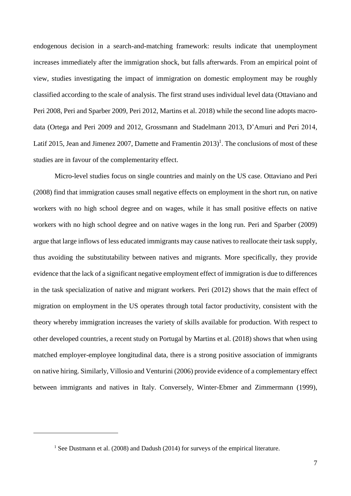endogenous decision in a search-and-matching framework: results indicate that unemployment increases immediately after the immigration shock, but falls afterwards. From an empirical point of view, studies investigating the impact of immigration on domestic employment may be roughly classified according to the scale of analysis. The first strand uses individual level data (Ottaviano and Peri 2008, Peri and Sparber 2009, Peri 2012, Martins et al. 2018) while the second line adopts macrodata (Ortega and Peri 2009 and 2012, Grossmann and Stadelmann 2013, D'Amuri and Peri 2014, Latif 2015, Jean and Jimenez 2007, Damette and Framentin 2013)<sup>1</sup>. The conclusions of most of these studies are in favour of the complementarity effect.

Micro-level studies focus on single countries and mainly on the US case. Ottaviano and Peri (2008) find that immigration causes small negative effects on employment in the short run, on native workers with no high school degree and on wages, while it has small positive effects on native workers with no high school degree and on native wages in the long run. Peri and Sparber (2009) argue that large inflows of less educated immigrants may cause natives to reallocate their task supply, thus avoiding the substitutability between natives and migrants. More specifically, they provide evidence that the lack of a significant negative employment effect of immigration is due to differences in the task specialization of native and migrant workers. Peri (2012) shows that the main effect of migration on employment in the US operates through total factor productivity, consistent with the theory whereby immigration increases the variety of skills available for production. With respect to other developed countries, a recent study on Portugal by Martins et al. (2018) shows that when using matched employer-employee longitudinal data, there is a strong positive association of immigrants on native hiring. Similarly, Villosio and Venturini (2006) provide evidence of a complementary effect between immigrants and natives in Italy. Conversely, Winter-Ebmer and Zimmermann (1999),

-

<sup>&</sup>lt;sup>1</sup> See Dustmann et al. (2008) and Dadush (2014) for surveys of the empirical literature.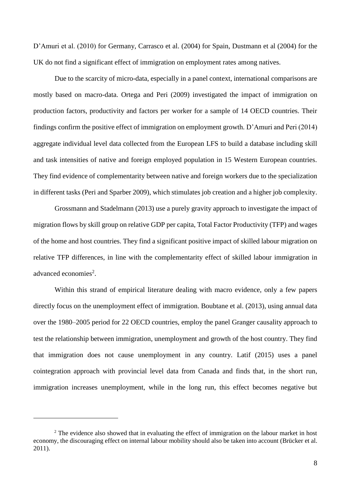D'Amuri et al. (2010) for Germany, Carrasco et al. (2004) for Spain, Dustmann et al (2004) for the UK do not find a significant effect of immigration on employment rates among natives.

Due to the scarcity of micro-data, especially in a panel context, international comparisons are mostly based on macro-data. Ortega and Peri (2009) investigated the impact of immigration on production factors, productivity and factors per worker for a sample of 14 OECD countries. Their findings confirm the positive effect of immigration on employment growth. D'Amuri and Peri (2014) aggregate individual level data collected from the European LFS to build a database including skill and task intensities of native and foreign employed population in 15 Western European countries. They find evidence of complementarity between native and foreign workers due to the specialization in different tasks (Peri and Sparber 2009), which stimulates job creation and a higher job complexity.

Grossmann and Stadelmann (2013) use a purely gravity approach to investigate the impact of migration flows by skill group on relative GDP per capita, Total Factor Productivity (TFP) and wages of the home and host countries. They find a significant positive impact of skilled labour migration on relative TFP differences, in line with the complementarity effect of skilled labour immigration in advanced economies<sup>2</sup>.

Within this strand of empirical literature dealing with macro evidence, only a few papers directly focus on the unemployment effect of immigration. Boubtane et al. (2013), using annual data over the 1980–2005 period for 22 OECD countries, employ the panel Granger causality approach to test the relationship between immigration, unemployment and growth of the host country. They find that immigration does not cause unemployment in any country. Latif (2015) uses a panel cointegration approach with provincial level data from Canada and finds that, in the short run, immigration increases unemployment, while in the long run, this effect becomes negative but

<u>.</u>

<sup>&</sup>lt;sup>2</sup> The evidence also showed that in evaluating the effect of immigration on the labour market in host economy, the discouraging effect on internal labour mobility should also be taken into account (Brücker et al. 2011).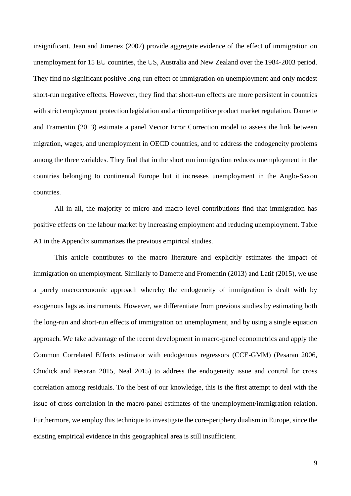insignificant. Jean and Jimenez (2007) provide aggregate evidence of the effect of immigration on unemployment for 15 EU countries, the US, Australia and New Zealand over the 1984-2003 period. They find no significant positive long-run effect of immigration on unemployment and only modest short-run negative effects. However, they find that short-run effects are more persistent in countries with strict employment protection legislation and anticompetitive product market regulation. Damette and Framentin (2013) estimate a panel Vector Error Correction model to assess the link between migration, wages, and unemployment in OECD countries, and to address the endogeneity problems among the three variables. They find that in the short run immigration reduces unemployment in the countries belonging to continental Europe but it increases unemployment in the Anglo-Saxon countries.

All in all, the majority of micro and macro level contributions find that immigration has positive effects on the labour market by increasing employment and reducing unemployment. Table A1 in the Appendix summarizes the previous empirical studies.

This article contributes to the macro literature and explicitly estimates the impact of immigration on unemployment. Similarly to Damette and Fromentin (2013) and Latif (2015), we use a purely macroeconomic approach whereby the endogeneity of immigration is dealt with by exogenous lags as instruments. However, we differentiate from previous studies by estimating both the long-run and short-run effects of immigration on unemployment, and by using a single equation approach. We take advantage of the recent development in macro-panel econometrics and apply the Common Correlated Effects estimator with endogenous regressors (CCE-GMM) (Pesaran 2006, Chudick and Pesaran 2015, Neal 2015) to address the endogeneity issue and control for cross correlation among residuals. To the best of our knowledge, this is the first attempt to deal with the issue of cross correlation in the macro-panel estimates of the unemployment/immigration relation. Furthermore, we employ this technique to investigate the core-periphery dualism in Europe, since the existing empirical evidence in this geographical area is still insufficient.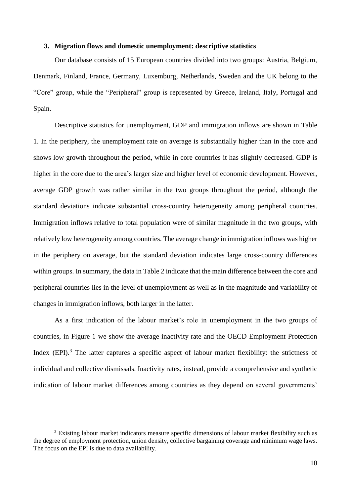### **3. Migration flows and domestic unemployment: descriptive statistics**

Our database consists of 15 European countries divided into two groups: Austria, Belgium, Denmark, Finland, France, Germany, Luxemburg, Netherlands, Sweden and the UK belong to the "Core" group, while the "Peripheral" group is represented by Greece, Ireland, Italy, Portugal and Spain.

Descriptive statistics for unemployment, GDP and immigration inflows are shown in Table 1. In the periphery, the unemployment rate on average is substantially higher than in the core and shows low growth throughout the period, while in core countries it has slightly decreased. GDP is higher in the core due to the area's larger size and higher level of economic development. However, average GDP growth was rather similar in the two groups throughout the period, although the standard deviations indicate substantial cross-country heterogeneity among peripheral countries. Immigration inflows relative to total population were of similar magnitude in the two groups, with relatively low heterogeneity among countries. The average change in immigration inflows was higher in the periphery on average, but the standard deviation indicates large cross-country differences within groups. In summary, the data in Table 2 indicate that the main difference between the core and peripheral countries lies in the level of unemployment as well as in the magnitude and variability of changes in immigration inflows, both larger in the latter.

As a first indication of the labour market's role in unemployment in the two groups of countries, in Figure 1 we show the average inactivity rate and the OECD Employment Protection Index (EPI).<sup>3</sup> The latter captures a specific aspect of labour market flexibility: the strictness of individual and collective dismissals. Inactivity rates, instead, provide a comprehensive and synthetic indication of labour market differences among countries as they depend on several governments'

<u>.</u>

<sup>&</sup>lt;sup>3</sup> Existing labour market indicators measure specific dimensions of labour market flexibility such as the degree of employment protection, union density, collective bargaining coverage and minimum wage laws. The focus on the EPI is due to data availability.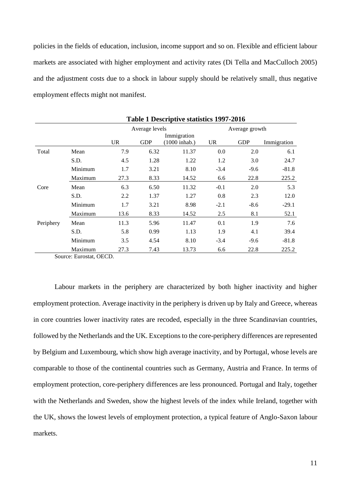policies in the fields of education, inclusion, income support and so on. Flexible and efficient labour markets are associated with higher employment and activity rates (Di Tella and MacCulloch 2005) and the adjustment costs due to a shock in labour supply should be relatively small, thus negative employment effects might not manifest.

|           |         | Table 1 Descriptive statistics 1997-2016 |                |                                        |        |                |             |  |
|-----------|---------|------------------------------------------|----------------|----------------------------------------|--------|----------------|-------------|--|
|           |         |                                          | Average levels |                                        |        | Average growth |             |  |
|           |         | UR                                       | <b>GDP</b>     | Immigration<br>$(1000 \text{ inhab.})$ | UR     | <b>GDP</b>     | Immigration |  |
| Total     | Mean    | 7.9                                      | 6.32           | 11.37                                  | 0.0    | 2.0            | 6.1         |  |
|           | S.D.    | 4.5                                      | 1.28           | 1.22                                   | 1.2    | 3.0            | 24.7        |  |
|           | Minimum | 1.7                                      | 3.21           | 8.10                                   | $-3.4$ | $-9.6$         | $-81.8$     |  |
|           | Maximum | 27.3                                     | 8.33           | 14.52                                  | 6.6    | 22.8           | 225.2       |  |
| Core      | Mean    | 6.3                                      | 6.50           | 11.32                                  | $-0.1$ | 2.0            | 5.3         |  |
|           | S.D.    | 2.2                                      | 1.37           | 1.27                                   | 0.8    | 2.3            | 12.0        |  |
|           | Minimum | 1.7                                      | 3.21           | 8.98                                   | $-2.1$ | $-8.6$         | $-29.1$     |  |
|           | Maximum | 13.6                                     | 8.33           | 14.52                                  | 2.5    | 8.1            | 52.1        |  |
| Periphery | Mean    | 11.3                                     | 5.96           | 11.47                                  | 0.1    | 1.9            | 7.6         |  |
|           | S.D.    | 5.8                                      | 0.99           | 1.13                                   | 1.9    | 4.1            | 39.4        |  |
|           | Minimum | 3.5                                      | 4.54           | 8.10                                   | $-3.4$ | $-9.6$         | $-81.8$     |  |
|           | Maximum | 27.3                                     | 7.43           | 13.73                                  | 6.6    | 22.8           | 225.2       |  |

**Table 1 Descriptive statistics 1997-2016**

Source: Eurostat, OECD.

Labour markets in the periphery are characterized by both higher inactivity and higher employment protection. Average inactivity in the periphery is driven up by Italy and Greece, whereas in core countries lower inactivity rates are recoded, especially in the three Scandinavian countries, followed by the Netherlands and the UK. Exceptions to the core-periphery differences are represented by Belgium and Luxembourg, which show high average inactivity, and by Portugal, whose levels are comparable to those of the continental countries such as Germany, Austria and France. In terms of employment protection, core-periphery differences are less pronounced. Portugal and Italy, together with the Netherlands and Sweden, show the highest levels of the index while Ireland, together with the UK, shows the lowest levels of employment protection, a typical feature of Anglo-Saxon labour markets.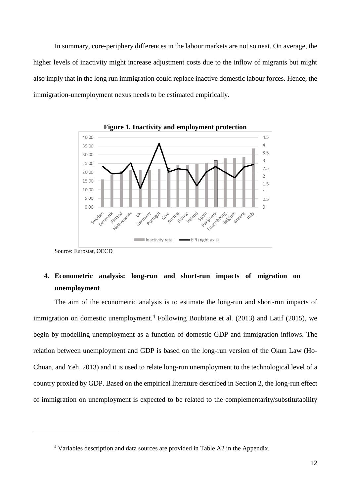In summary, core-periphery differences in the labour markets are not so neat. On average, the higher levels of inactivity might increase adjustment costs due to the inflow of migrants but might also imply that in the long run immigration could replace inactive domestic labour forces. Hence, the immigration-unemployment nexus needs to be estimated empirically.





Source: Eurostat, OECD

-

### **4. Econometric analysis: long-run and short-run impacts of migration on unemployment**

The aim of the econometric analysis is to estimate the long-run and short-run impacts of immigration on domestic unemployment.<sup>4</sup> Following Boubtane et al. (2013) and Latif (2015), we begin by modelling unemployment as a function of domestic GDP and immigration inflows. The relation between unemployment and GDP is based on the long-run version of the Okun Law (Ho-Chuan, and Yeh, 2013) and it is used to relate long-run unemployment to the technological level of a country proxied by GDP. Based on the empirical literature described in Section 2, the long-run effect of immigration on unemployment is expected to be related to the complementarity/substitutability

<sup>4</sup> Variables description and data sources are provided in Table A2 in the Appendix.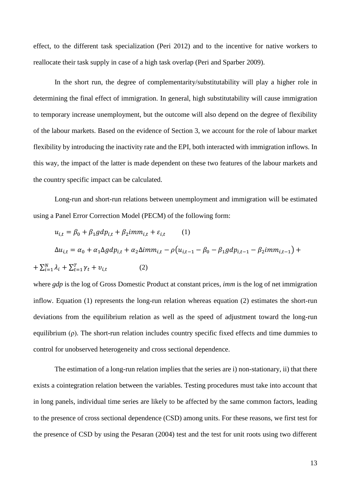effect, to the different task specialization (Peri 2012) and to the incentive for native workers to reallocate their task supply in case of a high task overlap (Peri and Sparber 2009).

In the short run, the degree of complementarity/substitutability will play a higher role in determining the final effect of immigration. In general, high substitutability will cause immigration to temporary increase unemployment, but the outcome will also depend on the degree of flexibility of the labour markets. Based on the evidence of Section 3, we account for the role of labour market flexibility by introducing the inactivity rate and the EPI, both interacted with immigration inflows. In this way, the impact of the latter is made dependent on these two features of the labour markets and the country specific impact can be calculated.

Long-run and short-run relations between unemployment and immigration will be estimated using a Panel Error Correction Model (PECM) of the following form:

$$
u_{i,t} = \beta_0 + \beta_1 g d p_{i,t} + \beta_2 im m_{i,t} + \varepsilon_{i,t} \qquad (1)
$$
  
\n
$$
\Delta u_{i,t} = \alpha_0 + \alpha_1 \Delta g d p_{i,t} + \alpha_2 \Delta im m_{i,t} - \rho (u_{i,t-1} - \beta_0 - \beta_1 g d p_{i,t-1} - \beta_2 im m_{i,t-1}) +
$$
  
\n
$$
+ \sum_{i=1}^{N} \lambda_i + \sum_{t=1}^{T} \gamma_t + v_{i,t} \qquad (2)
$$

where *gdp* is the log of Gross Domestic Product at constant prices, *imm* is the log of net immigration inflow. Equation (1) represents the long-run relation whereas equation (2) estimates the short-run deviations from the equilibrium relation as well as the speed of adjustment toward the long-run equilibrium (ρ). The short-run relation includes country specific fixed effects and time dummies to control for unobserved heterogeneity and cross sectional dependence.

The estimation of a long-run relation implies that the series are i) non-stationary, ii) that there exists a cointegration relation between the variables. Testing procedures must take into account that in long panels, individual time series are likely to be affected by the same common factors, leading to the presence of cross sectional dependence (CSD) among units. For these reasons, we first test for the presence of CSD by using the Pesaran (2004) test and the test for unit roots using two different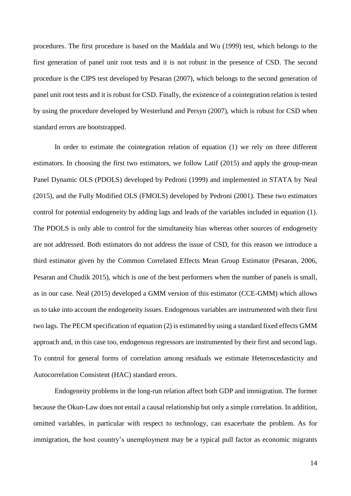procedures. The first procedure is based on the Maddala and Wu (1999) test, which belongs to the first generation of panel unit root tests and it is not robust in the presence of CSD. The second procedure is the CIPS test developed by Pesaran (2007), which belongs to the second generation of panel unit root tests and it is robust for CSD. Finally, the existence of a cointegration relation is tested by using the procedure developed by Westerlund and Persyn (2007), which is robust for CSD when standard errors are bootstrapped.

In order to estimate the cointegration relation of equation (1) we rely on three different estimators. In choosing the first two estimators, we follow Latif (2015) and apply the group-mean Panel Dynamic OLS (PDOLS) developed by Pedroni (1999) and implemented in STATA by Neal (2015), and the Fully Modified OLS (FMOLS) developed by Pedroni (2001). These two estimators control for potential endogeneity by adding lags and leads of the variables included in equation (1). The PDOLS is only able to control for the simultaneity bias whereas other sources of endogeneity are not addressed. Both estimators do not address the issue of CSD, for this reason we introduce a third estimator given by the Common Correlated Effects Mean Group Estimator (Pesaran, 2006, Pesaran and Chudik 2015), which is one of the best performers when the number of panels is small, as in our case. Neal (2015) developed a GMM version of this estimator (CCE-GMM) which allows us to take into account the endogeneity issues. Endogenous variables are instrumented with their first two lags. The PECM specification of equation (2) is estimated by using a standard fixed effects GMM approach and, in this case too, endogenous regressors are instrumented by their first and second lags. To control for general forms of correlation among residuals we estimate Heteroscedasticity and Autocorrelation Consistent (HAC) standard errors.

Endogeneity problems in the long-run relation affect both GDP and immigration. The former because the Okun-Law does not entail a causal relationship but only a simple correlation. In addition, omitted variables, in particular with respect to technology, can exacerbate the problem. As for immigration, the host country's unemployment may be a typical pull factor as economic migrants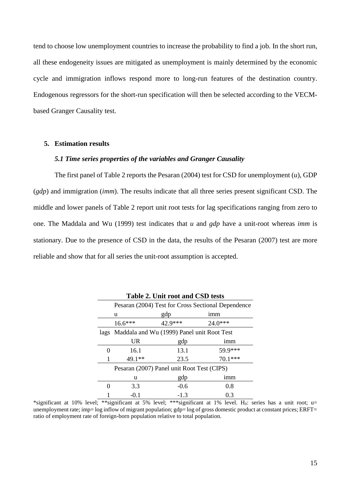tend to choose low unemployment countries to increase the probability to find a job. In the short run, all these endogeneity issues are mitigated as unemployment is mainly determined by the economic cycle and immigration inflows respond more to long-run features of the destination country. Endogenous regressors for the short-run specification will then be selected according to the VECMbased Granger Causality test.

#### **5. Estimation results**

### *5.1 Time series properties of the variables and Granger Causality*

The first panel of Table 2 reports the Pesaran (2004) test for CSD for unemployment (*u*), GDP (*gdp*) and immigration (*imm*). The results indicate that all three series present significant CSD. The middle and lower panels of Table 2 report unit root tests for lag specifications ranging from zero to one. The Maddala and Wu (1999) test indicates that *u* and *gdp* have a unit-root whereas *imm* is stationary. Due to the presence of CSD in the data, the results of the Pesaran (2007) test are more reliable and show that for all series the unit-root assumption is accepted.

|                   | Pesaran (2004) Test for Cross Sectional Dependence |         |         |  |  |  |  |
|-------------------|----------------------------------------------------|---------|---------|--|--|--|--|
|                   | u                                                  | gdp     | imm     |  |  |  |  |
|                   | $16.6***$                                          | 42.9*** | 24.0*** |  |  |  |  |
|                   | lags Maddala and Wu (1999) Panel unit Root Test    |         |         |  |  |  |  |
|                   | <b>UR</b>                                          | gdp     | imm     |  |  |  |  |
| $\mathbf{\Omega}$ | 16.1                                               | 13.1    | 59.9*** |  |  |  |  |
|                   | 49.1**                                             | 23.5    | 70.1*** |  |  |  |  |
|                   | Pesaran (2007) Panel unit Root Test (CIPS)         |         |         |  |  |  |  |
|                   | u                                                  | gdp     | imm     |  |  |  |  |
| 0                 | 3.3                                                | $-0.6$  | 0.8     |  |  |  |  |
|                   | $-0.1$                                             | $-1.3$  | 0.3     |  |  |  |  |

**Table 2. Unit root and CSD tests**

\*significant at 10% level; \*\*significant at 5% level; \*\*\*significant at 1% level. H<sub>0</sub>: series has a unit root; u= unemployment rate; imp=  $log$  inflow of migrant population;  $gdp= log$  of gross domestic product at constant prices; ERFT= ratio of employment rate of foreign-born population relative to total population.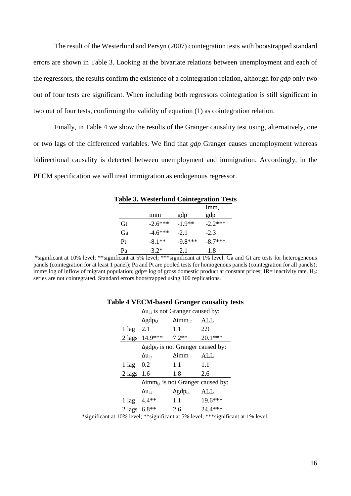The result of the Westerlund and Persyn (2007) cointegration tests with bootstrapped standard errors are shown in Table 3. Looking at the bivariate relations between unemployment and each of the regressors, the results confirm the existence of a cointegration relation, although for *gdp* only two out of four tests are significant. When including both regressors cointegration is still significant in two out of four tests, confirming the validity of equation (1) as cointegration relation.

Finally, in Table 4 we show the results of the Granger causality test using, alternatively, one or two lags of the differenced variables. We find that *gdp* Granger causes unemployment whereas bidirectional causality is detected between unemployment and immigration. Accordingly, in the PECM specification we will treat immigration as endogenous regressor.

|    |           |           | <b>Table 3. Westerlund Cointegration Tests</b> |
|----|-----------|-----------|------------------------------------------------|
|    |           |           | imm,                                           |
|    | imm       | gdp       | gdp                                            |
| Gt | $-2.6***$ | $-1.9**$  | $-2.2***$                                      |
| Ga | $-4.6***$ | $-2.1$    | $-2.3$                                         |
| Pt | $-8.1**$  | $-9.8***$ | $-8.7***$                                      |
| Pa | $-3.2*$   | $-2.1$    | $-1.8$                                         |

\*significant at 10% level; \*\*significant at 5% level; \*\*\*significant at 1% level. Ga and Gt are tests for heterogeneous panels (cointegration for at least 1 panel); Pa and Pt are pooled tests for homogenous panels (cointegration for all panels); imm= log of inflow of migrant population; gdp= log of gross domestic product at constant prices; IR= inactivity rate. H<sub>0</sub>: series are not cointegrated. Standard errors bootstrapped using 100 replications.

| $\mu$ . The contract of angel causality $\mu$ s |                            |                                                          |         |           |  |  |  |
|-------------------------------------------------|----------------------------|----------------------------------------------------------|---------|-----------|--|--|--|
|                                                 |                            | $\Delta u_{i,t}$ is not Granger caused by:               |         |           |  |  |  |
|                                                 |                            | $\Delta$ gdp <sub>i,t</sub><br>$\Delta \text{imm}_{i,t}$ |         | ALL       |  |  |  |
|                                                 | $1 \text{ lag}$ 2.1        |                                                          | 1.1     | 2.9       |  |  |  |
|                                                 |                            | 2 lags $14.9***$ 7.2**                                   |         | $20.1***$ |  |  |  |
|                                                 |                            | $\Delta$ gdp <sub>i,t</sub> is not Granger caused by:    |         |           |  |  |  |
|                                                 |                            | $\Delta \text{imm}_{\text{i,t}}$<br>$\Delta u_{i,t}$     |         | ALL       |  |  |  |
|                                                 | $1 \text{ lag} \quad 0.2$  |                                                          | 1.1     | 1.1       |  |  |  |
|                                                 | $2 \text{ lags } 1.6$      |                                                          | 1.8     | 2.6       |  |  |  |
|                                                 |                            | $\Delta$ imm <sub>i,t</sub> is not Granger caused by:    |         |           |  |  |  |
|                                                 |                            | $\Delta u_{i,t}$                                         | ALL     |           |  |  |  |
|                                                 |                            | $1 \text{ lag} \quad 4.4**$                              | $1.1\,$ | 19.6***   |  |  |  |
|                                                 | $2 \text{ lags } 6.8^{**}$ |                                                          | 2.6     | 24.4***   |  |  |  |

### **Table 4 VECM-based Granger causality tests**

\*significant at 10% level; \*\*significant at 5% level; \*\*\*significant at 1% level.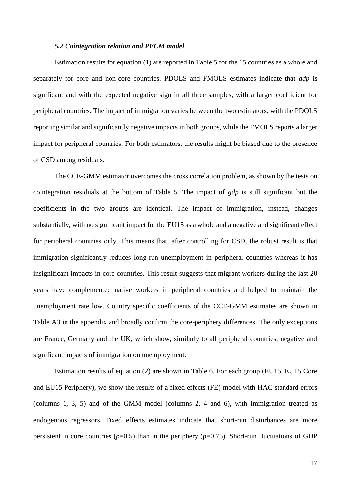#### *5.2 Cointegration relation and PECM model*

Estimation results for equation (1) are reported in Table 5 for the 15 countries as a whole and separately for core and non-core countries. PDOLS and FMOLS estimates indicate that *gdp* is significant and with the expected negative sign in all three samples, with a larger coefficient for peripheral countries. The impact of immigration varies between the two estimators, with the PDOLS reporting similar and significantly negative impacts in both groups, while the FMOLS reports a larger impact for peripheral countries. For both estimators, the results might be biased due to the presence of CSD among residuals.

The CCE-GMM estimator overcomes the cross correlation problem, as shown by the tests on cointegration residuals at the bottom of Table 5. The impact of *gdp* is still significant but the coefficients in the two groups are identical. The impact of immigration, instead, changes substantially, with no significant impact for the EU15 as a whole and a negative and significant effect for peripheral countries only. This means that, after controlling for CSD, the robust result is that immigration significantly reduces long-run unemployment in peripheral countries whereas it has insignificant impacts in core countries. This result suggests that migrant workers during the last 20 years have complemented native workers in peripheral countries and helped to maintain the unemployment rate low. Country specific coefficients of the CCE-GMM estimates are shown in Table A3 in the appendix and broadly confirm the core-periphery differences. The only exceptions are France, Germany and the UK, which show, similarly to all peripheral countries, negative and significant impacts of immigration on unemployment.

Estimation results of equation (2) are shown in Table 6. For each group (EU15, EU15 Core and EU15 Periphery), we show the results of a fixed effects (FE) model with HAC standard errors (columns 1, 3, 5) and of the GMM model (columns 2, 4 and 6), with immigration treated as endogenous regressors. Fixed effects estimates indicate that short-run disturbances are more persistent in core countries ( $\rho$ =0.5) than in the periphery ( $\rho$ =0.75). Short-run fluctuations of GDP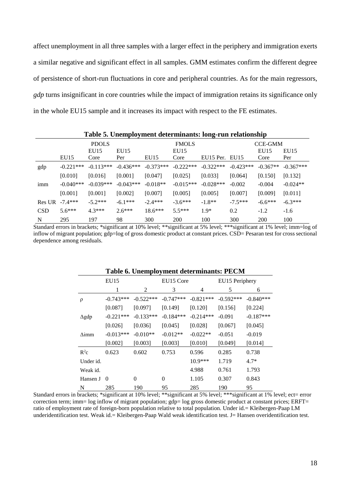affect unemployment in all three samples with a larger effect in the periphery and immigration exerts a similar negative and significant effect in all samples. GMM estimates confirm the different degree of persistence of short-run fluctuations in core and peripheral countries. As for the main regressors, *gdp* turns insignificant in core countries while the impact of immigration retains its significance only in the whole EU15 sample and it increases its impact with respect to the FE estimates.

|            | Table 5. Onemployment determinants. Jong-Tun Telationship |              |             |             |              |                |             |                |             |
|------------|-----------------------------------------------------------|--------------|-------------|-------------|--------------|----------------|-------------|----------------|-------------|
|            |                                                           | <b>PDOLS</b> |             |             | <b>FMOLS</b> |                |             | <b>CCE-GMM</b> |             |
|            |                                                           | EU15         | EU15        |             | EU15         |                |             | EU15           | EU15        |
|            | EU15                                                      | Core         | Per         | EU15        | Core         | EU15 Per. EU15 |             | Core           | Per         |
| gdp        | $-0.221***$                                               | $-0.113***$  | $-0.436***$ | $-0.373***$ | $-0.222$ *** | $-0.322***$    | $-0.423***$ | $-0.367**$     | $-0.367***$ |
|            | [0.010]                                                   | [0.016]      | [0.001]     | [0.047]     | [0.025]      | [0.033]        | [0.064]     | [0.150]        | [0.132]     |
| imm        | $-0.040***$                                               | $-0.039***$  | $-0.043***$ | $-0.018**$  | $-0.015***$  | $-0.028***$    | $-0.002$    | $-0.004$       | $-0.024**$  |
|            | [0.001]                                                   | [0.001]      | [0.002]     | [0.007]     | [0.005]      | [0.005]        | [0.007]     | [0.009]        | [0.011]     |
| Res UR     | $-7.4***$                                                 | $-5.2***$    | $-6.1***$   | $-2.4***$   | $-3.6***$    | $-1.8**$       | $-7.5***$   | $-6.6***$      | $-6.3***$   |
| <b>CSD</b> | $5.6***$                                                  | $4.3***$     | $2.6***$    | $18.6***$   | $5.5***$     | $1.9*$         | 0.2         | $-1.2$         | $-1.6$      |
| N          | 295                                                       | 197          | 98          | 300         | 200          | 100            | 300         | 200            | 100         |

**Table 5. Unemployment determinants: long-run relationship**

Standard errors in brackets; \*significant at 10% level; \*\*significant at 5% level; \*\*\*significant at 1% level; imm=log of inflow of migrant population; gdp=log of gross domestic product at constant prices. CSD= Pesaran test for cross sectional dependence among residuals.

|              | Table 6. Unemployment determinants: PECM |             |             |             |                |             |
|--------------|------------------------------------------|-------------|-------------|-------------|----------------|-------------|
|              | EU15                                     |             | EU15 Core   |             | EU15 Periphery |             |
|              | 1                                        | 2           | 3           | 4           | 5              | 6           |
| ρ            | $-0.743***$                              | $-0.522***$ | $-0.747***$ | $-0.821***$ | $-0.592***$    | $-0.840***$ |
|              | [0.087]                                  | [0.097]     | [0.149]     | [0.120]     | [0.156]        | [0.224]     |
| $\Delta$ gdp | $-0.221***$                              | $-0.133***$ | $-0.184***$ | $-0.214***$ | $-0.091$       | $-0.187***$ |
|              | [0.026]                                  | [0.036]     | [0.045]     | [0.028]     | [0.067]        | [0.045]     |
| $\Delta$ imm | $-0.013***$                              | $-0.010**$  | $-0.012**$  | $-0.022**$  | $-0.051$       | $-0.019$    |
|              | [0.002]                                  | [0.003]     | [0.003]     | [0.010]     | [0.049]        | [0.014]     |
| $R^2c$       | 0.623                                    | 0.602       | 0.753       | 0.596       | 0.285          | 0.738       |
| Under id.    |                                          |             |             | $10.9***$   | 1.719          | $4.7*$      |
| Weak id.     |                                          |             |             | 4.988       | 0.761          | 1.793       |
| Hansen J     | $\Omega$                                 | $\theta$    | $\theta$    | 1.105       | 0.307          | 0.843       |
| N            | 285                                      | 190         | 95          | 285         | 190            | 95          |

Standard errors in brackets; \*significant at 10% level; \*\*significant at 5% level; \*\*\*significant at 1% level; ect= error correction term; imm= log inflow of migrant population; gdp= log gross domestic product at constant prices; ERFT= ratio of employment rate of foreign-born population relative to total population. Under id.= Kleibergen-Paap LM underidentification test. Weak id.= Kleibergen-Paap Wald weak identification test. J= Hansen overidentification test.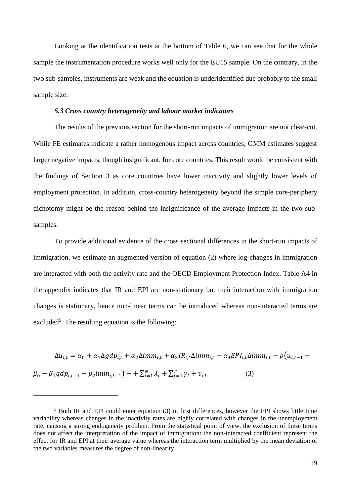Looking at the identification tests at the bottom of Table 6, we can see that for the whole sample the instrumentation procedure works well only for the EU15 sample. On the contrary, in the two sub-samples, instruments are weak and the equation is underidentified due probably to the small sample size.

#### *5.3 Cross country heterogeneity and labour market indicators*

The results of the previous section for the short-run impacts of immigration are not clear-cut. While FE estimates indicate a rather homogenous impact across countries, GMM estimates suggest larger negative impacts, though insignificant, for core countries. This result would be consistent with the findings of Section 3 as core countries have lower inactivity and slightly lower levels of employment protection. In addition, cross-country heterogeneity beyond the simple core-periphery dichotomy might be the reason behind the insignificance of the average impacts in the two subsamples.

To provide additional evidence of the cross sectional differences in the short-run impacts of immigration, we estimate an augmented version of equation (2) where log-changes in immigration are interacted with both the activity rate and the OECD Employment Protection Index. Table A4 in the appendix indicates that IR and EPI are non-stationary but their interaction with immigration changes is stationary, hence non-linear terms can be introduced whereas non-interacted terms are excluded<sup>5</sup>. The resulting equation is the following:

 $\Delta u_{i,t} = \alpha_0 + \alpha_1 \Delta g dp_{i,t} + \alpha_2 \Delta imm_{i,t} + \alpha_3 IR_{i,t} \Delta imm_{i,t} + \alpha_4 EPI_{i,t} \Delta imm_{i,t} - \rho (u_{i,t-1} \beta_0 - \beta_1 g dp_{i,t-1} - \beta_2 imm_{i,t-1} + \sum_{i=1}^{N} \lambda_i + \sum_{t=1}^{T} \gamma_t + v_{i,t}$ (3)

<u>.</u>

 $<sup>5</sup>$  Both IR and EPI could enter equation (3) in first differences, however the EPI shows little time</sup> variability whereas changes in the inactivity rates are highly correlated with changes in the unemployment rate, causing a strong endogeneity problem. From the statistical point of view, the exclusion of these terms does not affect the interpretation of the impact of immigration: the non-interacted coefficient represent the effect for IR and EPI at their average value whereas the interaction term multiplied by the mean deviation of the two variables measures the degree of non-linearity.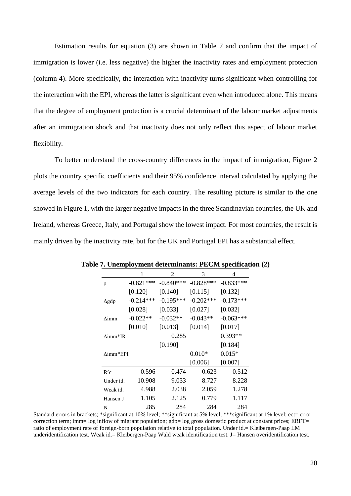Estimation results for equation (3) are shown in Table 7 and confirm that the impact of immigration is lower (i.e. less negative) the higher the inactivity rates and employment protection (column 4). More specifically, the interaction with inactivity turns significant when controlling for the interaction with the EPI, whereas the latter is significant even when introduced alone. This means that the degree of employment protection is a crucial determinant of the labour market adjustments after an immigration shock and that inactivity does not only reflect this aspect of labour market flexibility.

To better understand the cross-country differences in the impact of immigration, Figure 2 plots the country specific coefficients and their 95% confidence interval calculated by applying the average levels of the two indicators for each country. The resulting picture is similar to the one showed in Figure 1, with the larger negative impacts in the three Scandinavian countries, the UK and Ireland, whereas Greece, Italy, and Portugal show the lowest impact. For most countries, the result is mainly driven by the inactivity rate, but for the UK and Portugal EPI has a substantial effect.

|                 | 1           | 2           | 3            | 4           |
|-----------------|-------------|-------------|--------------|-------------|
| ρ               | $-0.821***$ | $-0.840***$ | $-0.828***$  | $-0.833***$ |
|                 | [0.120]     | [0.140]     | [0.115]      | [0.132]     |
| $\Delta$ gdp    | $-0.214***$ | $-0.195***$ | $-0.202$ *** | $-0.173***$ |
|                 | [0.028]     | [0.033]     | [0.027]      | [0.032]     |
| $\Delta$ imm    | $-0.022**$  | $-0.032**$  | $-0.043**$   | $-0.063***$ |
|                 | [0.010]     | [0.013]     | [0.014]      | [0.017]     |
| $\Delta$ imm*IR |             | 0.285       |              | $0.393**$   |
|                 |             | [0.190]     |              | [0.184]     |
| $Aimm*EPI$      |             |             | $0.010*$     | $0.015*$    |
|                 |             |             | [0.006]      | [0.007]     |
| $R^2c$          | 0.596       | 0.474       | 0.623        | 0.512       |
| Under id.       | 10.908      | 9.033       | 8.727        | 8.228       |
| Weak id.        | 4.988       | 2.038       | 2.059        | 1.278       |
| Hansen J        | 1.105       | 2.125       | 0.779        | 1.117       |
| N               | 285         | 284         | 284          | 284         |

**Table 7. Unemployment determinants: PECM specification (2)**

Standard errors in brackets; \*significant at 10% level; \*\*significant at 5% level; \*\*\*significant at 1% level; ect= error correction term; imm= log inflow of migrant population; gdp= log gross domestic product at constant prices; ERFT= ratio of employment rate of foreign-born population relative to total population. Under id.= Kleibergen-Paap LM underidentification test. Weak id.= Kleibergen-Paap Wald weak identification test. J= Hansen overidentification test.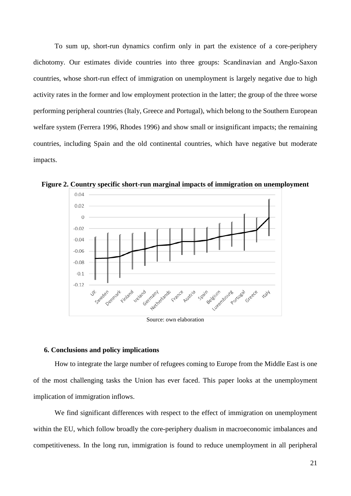To sum up, short-run dynamics confirm only in part the existence of a core-periphery dichotomy. Our estimates divide countries into three groups: Scandinavian and Anglo-Saxon countries, whose short-run effect of immigration on unemployment is largely negative due to high activity rates in the former and low employment protection in the latter; the group of the three worse performing peripheral countries (Italy, Greece and Portugal), which belong to the Southern European welfare system (Ferrera 1996, Rhodes 1996) and show small or insignificant impacts; the remaining countries, including Spain and the old continental countries, which have negative but moderate impacts.



**Figure 2. Country specific short-run marginal impacts of immigration on unemployment**

Source: own elaboration

#### **6. Conclusions and policy implications**

How to integrate the large number of refugees coming to Europe from the Middle East is one of the most challenging tasks the Union has ever faced. This paper looks at the unemployment implication of immigration inflows.

We find significant differences with respect to the effect of immigration on unemployment within the EU, which follow broadly the core-periphery dualism in macroeconomic imbalances and competitiveness. In the long run, immigration is found to reduce unemployment in all peripheral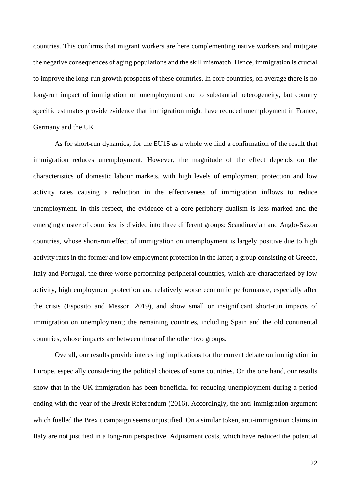countries. This confirms that migrant workers are here complementing native workers and mitigate the negative consequences of aging populations and the skill mismatch. Hence, immigration is crucial to improve the long-run growth prospects of these countries. In core countries, on average there is no long-run impact of immigration on unemployment due to substantial heterogeneity, but country specific estimates provide evidence that immigration might have reduced unemployment in France, Germany and the UK.

As for short-run dynamics, for the EU15 as a whole we find a confirmation of the result that immigration reduces unemployment. However, the magnitude of the effect depends on the characteristics of domestic labour markets, with high levels of employment protection and low activity rates causing a reduction in the effectiveness of immigration inflows to reduce unemployment. In this respect, the evidence of a core-periphery dualism is less marked and the emerging cluster of countries is divided into three different groups: Scandinavian and Anglo-Saxon countries, whose short-run effect of immigration on unemployment is largely positive due to high activity rates in the former and low employment protection in the latter; a group consisting of Greece, Italy and Portugal, the three worse performing peripheral countries, which are characterized by low activity, high employment protection and relatively worse economic performance, especially after the crisis (Esposito and Messori 2019), and show small or insignificant short-run impacts of immigration on unemployment; the remaining countries, including Spain and the old continental countries, whose impacts are between those of the other two groups.

Overall, our results provide interesting implications for the current debate on immigration in Europe, especially considering the political choices of some countries. On the one hand, our results show that in the UK immigration has been beneficial for reducing unemployment during a period ending with the year of the Brexit Referendum (2016). Accordingly, the anti-immigration argument which fuelled the Brexit campaign seems unjustified. On a similar token, anti-immigration claims in Italy are not justified in a long-run perspective. Adjustment costs, which have reduced the potential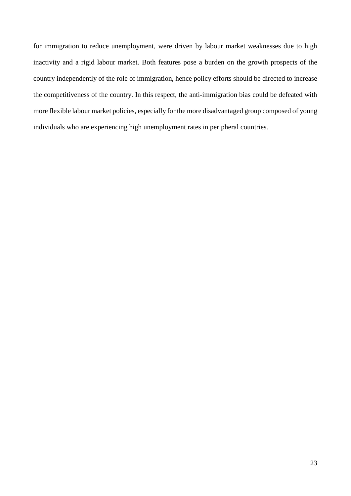for immigration to reduce unemployment, were driven by labour market weaknesses due to high inactivity and a rigid labour market. Both features pose a burden on the growth prospects of the country independently of the role of immigration, hence policy efforts should be directed to increase the competitiveness of the country. In this respect, the anti-immigration bias could be defeated with more flexible labour market policies, especially for the more disadvantaged group composed of young individuals who are experiencing high unemployment rates in peripheral countries.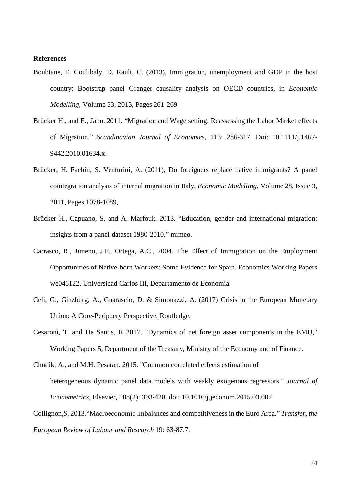### **References**

- Boubtane, E. Coulibaly, D. Rault, C. (2013), Immigration, unemployment and GDP in the host country: Bootstrap panel Granger causality analysis on OECD countries, in *Economic Modelling*, Volume 33, 2013, Pages 261-269
- Brücker H., and E., Jahn. 2011. "Migration and Wage setting: Reassessing the Labor Market effects of Migration." *Scandinavian Journal of Economics*, 113: 286-317. Doi: 10.1111/j.1467- 9442.2010.01634.x.
- Brücker, H. Fachin, S. Venturini, A. (2011), Do foreigners replace native immigrants? A panel cointegration analysis of internal migration in Italy, *Economic Modelling*, Volume 28, Issue 3, 2011, Pages 1078-1089,
- Brücker H., Capuano, S. and A. Marfouk. 2013. "Education, gender and international migration: insights from a panel-dataset 1980-2010." mimeo.
- Carrasco, R., Jimeno, J.F., Ortega, A.C., 2004. The Effect of Immigration on the Employment Opportunities of Native-born Workers: Some Evidence for Spain. Economics Working Papers we046122. Universidad Carlos III, Departamento de Economía.
- Celi, G., Ginzburg, A., Guarascio, D. & Simonazzi, A. (2017) Crisis in the European Monetary Union: A Core-Periphery Perspective, Routledge.
- Cesaroni, T. and De Santis, R 2017. "Dynamics of net foreign asset components in the EMU," Working Papers 5, Department of the Treasury, Ministry of the Economy and of Finance.
- Chudik, A., and M.H. Pesaran. 2015. "Common correlated effects estimation of heterogeneous dynamic panel data models with weakly exogenous regressors." *Journal of Econometrics*, Elsevier, 188(2): 393-420. doi: 10.1016/j.jeconom.2015.03.007
- Collignon,S. 2013."Macroeconomic imbalances and competitiveness in the Euro Area." *Transfer, the European Review of Labour and Research* 19: 63-87.7.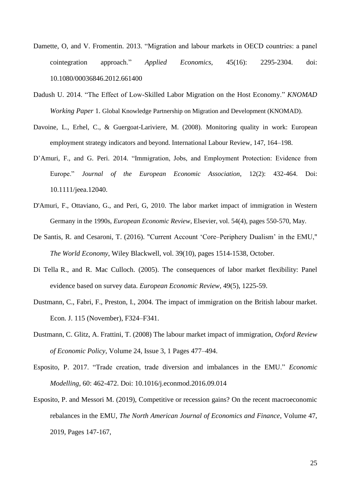- Damette, O, and V. Fromentin. 2013. "Migration and labour markets in OECD countries: a panel cointegration approach." *Applied Economics*, 45(16): 2295-2304. doi: 10.1080/00036846.2012.661400
- Dadush U. 2014. "The Effect of Low-Skilled Labor Migration on the Host Economy." *KNOMAD Working Paper* 1. Global Knowledge Partnership on Migration and Development (KNOMAD).
- Davoine, L., Erhel, C., & Guergoat-Lariviere, M. (2008). Monitoring quality in work: European employment strategy indicators and beyond. International Labour Review, 147, 164–198.
- D'Amuri, F., and G. Peri. 2014. "Immigration, Jobs, and Employment Protection: Evidence from Europe." *Journal of the European Economic Association*, 12(2): 432-464. Doi: 10.1111/jeea.12040.
- D'Amuri, F., Ottaviano, G., and Peri, G, 2010. The labor market impact of immigration in Western Germany in the 1990s, *European Economic Review*, Elsevier, vol. 54(4), pages 550-570, May.
- De Santis, R. and Cesaroni, T. (2016). "Current Account 'Core–Periphery Dualism' in the EMU," *The World Economy*, Wiley Blackwell, vol. 39(10), pages 1514-1538, October.
- Di Tella R., and R. Mac Culloch. (2005). The consequences of labor market flexibility: Panel evidence based on survey data. *[European Economic Review](https://www.sciencedirect.com/science/journal/00142921)*, 49(5), 1225-59.
- Dustmann, C., Fabri, F., Preston, I., 2004. The impact of immigration on the British labour market. Econ. J. 115 (November), F324–F341.
- Dustmann, C. Glitz, A. Frattini, T. (2008) The labour market impact of immigration, *Oxford Review of Economic Policy*, Volume 24, Issue 3, 1 Pages 477–494.
- Esposito, P. 2017. "Trade creation, trade diversion and imbalances in the EMU." *Economic Modelling*, 60: 462-472. Doi: 10.1016/j.econmod.2016.09.014
- Esposito, P. and Messori M. (2019), Competitive or recession gains? On the recent macroeconomic rebalances in the EMU, *The North American Journal of Economics and Finance*, Volume 47, 2019, Pages 147-167,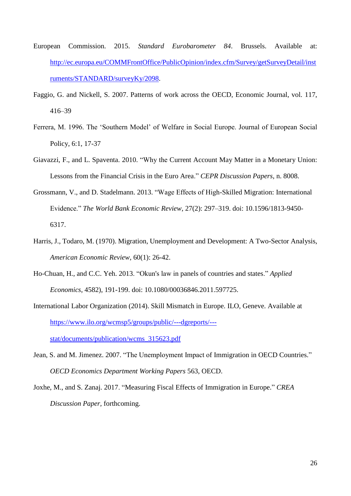- European Commission. 2015. *Standard Eurobarometer 84*. Brussels. Available at: [http://ec.europa.eu/COMMFrontOffice/PublicOpinion/index.cfm/Survey/getSurveyDetail/inst](http://ec.europa.eu/COMMFrontOffice/PublicOpinion/index.cfm/Survey/getSurveyDetail/instruments/STANDARD/surveyKy/2098) [ruments/STANDARD/surveyKy/2098.](http://ec.europa.eu/COMMFrontOffice/PublicOpinion/index.cfm/Survey/getSurveyDetail/instruments/STANDARD/surveyKy/2098)
- Faggio, G. and Nickell, S. 2007. Patterns of work across the OECD, Economic Journal, vol. 117, 416–39
- Ferrera, M. 1996. The 'Southern Model' of Welfare in Social Europe. Journal of European Social Policy, 6:1, 17-37
- Giavazzi, F., and L. Spaventa. 2010. "Why the Current Account May Matter in a Monetary Union: Lessons from the Financial Crisis in the Euro Area." *CEPR Discussion Papers*, n. 8008.
- Grossmann, V., and D. Stadelmann. 2013. "Wage Effects of High-Skilled Migration: International Evidence." *The World Bank Economic Review*, 27(2): 297–319. doi: 10.1596/1813-9450- 6317.
- Harris, J., Todaro, M. (1970). Migration, Unemployment and Development: A Two-Sector Analysis, *American Economic Review*, 60(1): 26-42.
- Ho-Chuan, H., and C.C. Yeh. 2013. "Okun's law in panels of countries and states." *Applied Economics*, 4582), 191-199. doi: 10.1080/00036846.2011.597725.
- International Labor Organization (2014). Skill Mismatch in Europe. ILO, Geneve. Available at [https://www.ilo.org/wcmsp5/groups/public/---dgreports/--](https://www.ilo.org/wcmsp5/groups/public/---dgreports/---stat/documents/publication/wcms_315623.pdf) [stat/documents/publication/wcms\\_315623.pdf](https://www.ilo.org/wcmsp5/groups/public/---dgreports/---stat/documents/publication/wcms_315623.pdf)
- Jean, S. and M. Jimenez. 2007. "The Unemployment Impact of Immigration in OECD Countries." *OECD Economics Department Working Papers* 563, OECD.
- Joxhe, M., and S. Zanaj. 2017. "Measuring Fiscal Effects of Immigration in Europe." *CREA Discussion Paper,* forthcoming.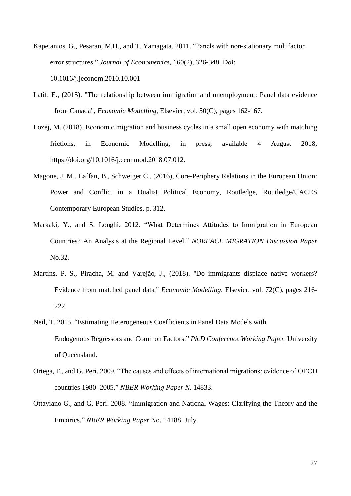- Kapetanios, G., Pesaran, M.H., and T. Yamagata. 2011. "Panels with non-stationary multifactor error structures." *Journal of Econometrics*, 160(2), 326-348. Doi: 10.1016/j.jeconom.2010.10.001
- Latif, E., (2015). "The relationship between immigration and unemployment: Panel data evidence from Canada", *Economic Modelling*, Elsevier, vol. 50(C), pages 162-167.
- Lozej, M. (2018), Economic migration and business cycles in a small open economy with matching frictions, in Economic Modelling, in press, available 4 August 2018, https://doi.org/10.1016/j.econmod.2018.07.012.
- Magone, J. M., Laffan, B., Schweiger C., (2016), Core-Periphery Relations in the European Union: Power and Conflict in a Dualist Political Economy, Routledge, Routledge/UACES Contemporary European Studies, p. 312.
- Markaki, Y., and S. Longhi. 2012. "What Determines Attitudes to Immigration in European Countries? An Analysis at the Regional Level." *NORFACE MIGRATION Discussion Paper* No.32.
- Martins, P. S., Piracha, M. and Varejão, J., (2018). "Do immigrants displace native workers? Evidence from matched panel data," *Economic Modelling*, Elsevier, vol. 72(C), pages 216- 222.
- Neil, T. 2015. "Estimating Heterogeneous Coefficients in Panel Data Models with Endogenous Regressors and Common Factors." *Ph.D Conference Working Paper*, University of Queensland.
- Ortega, F., and G. Peri. 2009. "The causes and effects of international migrations: evidence of OECD countries 1980–2005." *NBER Working Paper N*. 14833.
- Ottaviano G., and G. Peri. 2008. "Immigration and National Wages: Clarifying the Theory and the Empirics." *NBER Working Paper* No. 14188. July.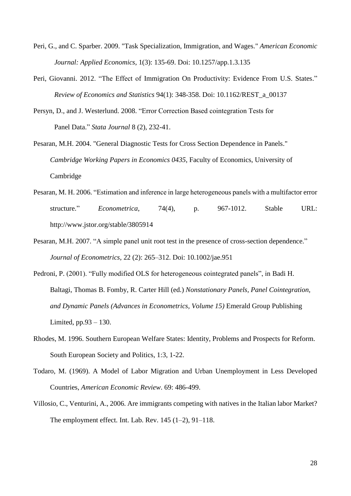- Peri, G., and C. Sparber. 2009. "Task Specialization, Immigration, and Wages." *American Economic Journal: Applied Economics*, 1(3): 135-69. Doi: 10.1257/app.1.3.135
- Peri, Giovanni. 2012. "The Effect of Immigration On Productivity: Evidence From U.S. States." *Review of Economics and Statistics* 94(1): 348-358. Doi: 10.1162/REST\_a\_00137
- Persyn, D., and J. Westerlund. 2008. "Error Correction Based cointegration Tests for Panel Data." *Stata Journal* 8 (2), 232-41.
- Pesaran, M.H. 2004. "General Diagnostic Tests for Cross Section Dependence in Panels." *Cambridge Working Papers in Economics 0435*, Faculty of Economics, University of Cambridge
- Pesaran, M. H. 2006. "Estimation and inference in large heterogeneous panels with a multifactor error structure." *Econometrica*, 74(4), p. 967-1012. Stable URL: http://www.jstor.org/stable/3805914
- Pesaran, M.H. 2007. "A simple panel unit root test in the presence of cross-section dependence." *Journal of Econometrics*, 22 (2): 265–312. Doi: 10.1002/jae.951
- Pedroni, P. (2001). "Fully modified OLS for heterogeneous cointegrated panels", in Badi H. Baltagi, Thomas B. Fomby, R. Carter Hill (ed.) *Nonstationary Panels, Panel Cointegration, and Dynamic Panels (Advances in Econometrics, Volume 15)* Emerald Group Publishing Limited, pp.93 – 130.
- Rhodes, M. 1996. Southern European Welfare States: Identity, Problems and Prospects for Reform. South European Society and Politics, 1:3, 1-22.
- Todaro, M. (1969). A Model of Labor Migration and Urban Unemployment in Less Developed Countries, *American Economic Review*. 69: 486-499.
- Villosio, C., Venturini, A., 2006. Are immigrants competing with natives in the Italian labor Market? The employment effect. Int. Lab. Rev. 145 (1–2), 91–118.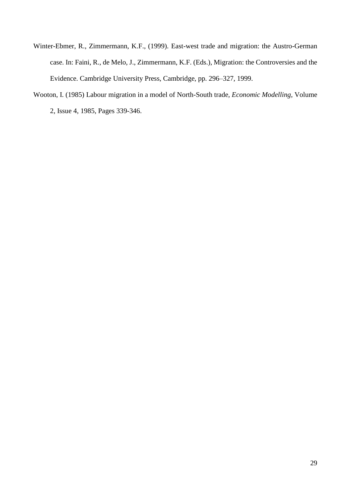- Winter-Ebmer, R., Zimmermann, K.F., (1999). East-west trade and migration: the Austro-German case. In: Faini, R., de Melo, J., Zimmermann, K.F. (Eds.), Migration: the Controversies and the Evidence. Cambridge University Press, Cambridge, pp. 296–327, 1999.
- Wooton, I. (1985) Labour migration in a model of North-South trade, *Economic Modelling*, Volume 2, Issue 4, 1985, Pages 339-346.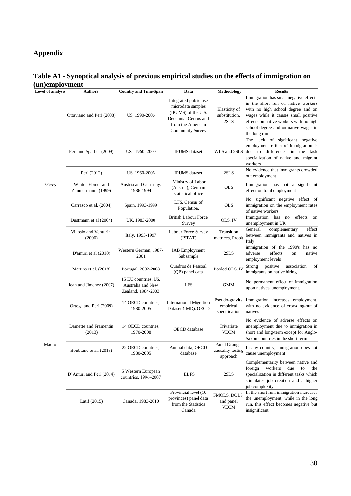### **Appendix**

### **Table A1 - Synoptical analysis of previous empirical studies on the effects of immigration on (un)employment**

| Level of analysis | <b>Authors</b>                        | <b>Country and Time-Span</b>                                    | Data                                                                                                                                      | Methodology                                    | <b>Results</b>                                                                                                                                                                                                                                              |
|-------------------|---------------------------------------|-----------------------------------------------------------------|-------------------------------------------------------------------------------------------------------------------------------------------|------------------------------------------------|-------------------------------------------------------------------------------------------------------------------------------------------------------------------------------------------------------------------------------------------------------------|
|                   | Ottaviano and Peri (2008)             | US, 1990-2006                                                   | Integrated public use<br>microdata samples<br>(IPUMS) of the U.S.<br>Decennial Census and<br>from the American<br><b>Community Survey</b> | Elasticity of<br>substitution,<br>2SLS         | Immigration has small negative effects<br>in the short run on native workers<br>with no high school degree and on<br>wages while it causes small positive<br>effects on native workers with no high<br>school degree and on native wages in<br>the long run |
|                   | Peri and Sparber (2009)               | US, 1960–2000                                                   | <b>IPUMS</b> dataset                                                                                                                      | WLS and 2SLS                                   | The lack of significant negative<br>employment effect of immigration is<br>due to differences in the task<br>specialization of native and migrant<br>workers                                                                                                |
|                   | Peri (2012)                           | US, 1960-2006                                                   | <b>IPUMS</b> dataset                                                                                                                      | 2SLS                                           | No evidence that immigrants crowded<br>out employment                                                                                                                                                                                                       |
| Micro             | Winter-Ebmer and<br>Zimmermann (1999) | Austria and Germany,<br>1986-1994                               | Ministry of Labor<br>(Austria), German<br>statistical office                                                                              | <b>OLS</b>                                     | Immigration has not a significant<br>effect on total employment                                                                                                                                                                                             |
|                   | Carrasco et al. (2004)                | Spain, 1993-1999                                                | LFS, Census of<br>Population,                                                                                                             | <b>OLS</b>                                     | No significant negative effect of<br>immigration on the employment rates<br>of native workers                                                                                                                                                               |
|                   | Dustmann et al (2004)                 | UK, 1983-2000                                                   | <b>British Labour Force</b><br>Survey                                                                                                     | OLS, IV                                        | Immigration has no<br>effects<br>on<br>unemployment in UK                                                                                                                                                                                                   |
|                   | Villosio and Venturini<br>(2006)      | Italy, 1993-1997                                                | Labour Force Survey<br>(ISTAT)                                                                                                            | Transition<br>matrices, Probit                 | General<br>complementary<br>effect<br>between immigrants and natives in<br>Italy                                                                                                                                                                            |
|                   | D'amuri et al (2010)                  | Western German, 1987-<br>2001                                   | <b>IAB</b> Employment<br>Subsample                                                                                                        | 2SLS                                           | immigration of the 1990's has no<br>effects<br>adverse<br>native<br>on<br>employment levels                                                                                                                                                                 |
|                   | Martins et al. (2018)                 | Portugal, 2002-2008                                             | Quadros de Pessoal<br>(QP) panel data                                                                                                     | Pooled OLS, IV                                 | positive<br>Strong<br>association<br>of<br>immigrants on native hiring                                                                                                                                                                                      |
|                   | Jean and Jimenez (2007)               | 15 EU countries, US,<br>Australia and New<br>Zealand, 1984-2003 | <b>LFS</b>                                                                                                                                | GMM                                            | No permanent effect of immigration<br>upon natives' unemployment.                                                                                                                                                                                           |
|                   | Ortega and Peri (2009)                | 14 OECD countries,<br>1980-2005                                 | <b>International Migration</b><br>Dataset (IMD), OECD                                                                                     | Pseudo-gravity<br>empirical<br>specification   | Immigration increases employment,<br>with no evidence of crowding-out of<br>natives                                                                                                                                                                         |
|                   | Damette and Framentin<br>(2013)       | 14 OECD countries,<br>1970-2008                                 | OECD database                                                                                                                             | Trivariate<br><b>VECM</b>                      | No evidence of adverse effects on<br>unemployment due to immigration in<br>short and long-term except for Anglo-<br>Saxon countries in the short term                                                                                                       |
| Macro             | Boubtane te al. (2013)                | 22 OECD countries,<br>1980-2005                                 | Annual data, OECD<br>database                                                                                                             | Panel Granger<br>causality testing<br>approach | In any country, immigration does not<br>cause unemployment                                                                                                                                                                                                  |
|                   | D'Amuri and Peri (2014)               | 5 Western European<br>countries, 1996-2007                      | <b>ELFS</b>                                                                                                                               | 2SLS                                           | Complementarity between native and<br>workers<br>due<br>foreign<br>to<br>the<br>specialization in different tasks which<br>stimulates job creation and a higher<br>job complexity                                                                           |
|                   | Latif $(2015)$                        | Canada, 1983-2010                                               | Provincial level (10<br>provinces) panel data<br>from the Statistics<br>Canada                                                            | FMOLS, DOLS,<br>and panel<br><b>VECM</b>       | In the short run, immigration increases<br>the unemployment, while in the long<br>run, this effect becomes negative but<br>insignificant                                                                                                                    |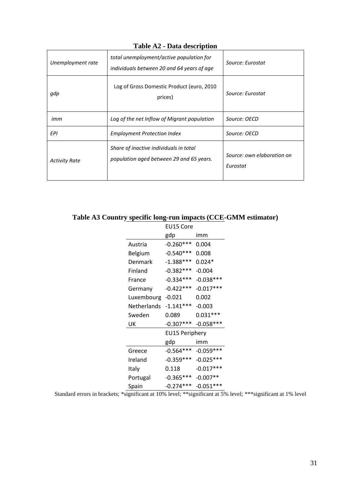| Unemployment rate                                                                                          | total unemployment/active population for<br>individuals between 20 and 64 years of age | Source: Eurostat                       |  |
|------------------------------------------------------------------------------------------------------------|----------------------------------------------------------------------------------------|----------------------------------------|--|
| gdp                                                                                                        | Log of Gross Domestic Product (euro, 2010<br>prices)                                   | Source: Eurostat                       |  |
| imm                                                                                                        | Log of the net Inflow of Migrant population                                            | Source: OECD                           |  |
| EPI                                                                                                        | <b>Employment Protection Index</b>                                                     | Source: OECD                           |  |
| Share of inactive individuals in total<br>population aged between 29 and 65 years.<br><b>Activity Rate</b> |                                                                                        | Source: own elaboration on<br>Eurostat |  |

**Table A2 - Data description**

| Table A3 Country specific long-run impacts (CCE-GMM estimator) |  |  |
|----------------------------------------------------------------|--|--|
|                                                                |  |  |

|                    | EU15 Core             |             |  |
|--------------------|-----------------------|-------------|--|
|                    | gdp                   | imm         |  |
| Austria            | $-0.260***$           | 0.004       |  |
| Belgium            | $-0.540***$           | 0.008       |  |
| Denmark            | $-1.388***$           | $0.024*$    |  |
| Finland            | $-0.382***$           | $-0.004$    |  |
| France             | $-0.334***$           | $-0.038***$ |  |
| Germany            | $-0.422***$           | $-0.017***$ |  |
| Luxembourg         | $-0.021$              | 0.002       |  |
| <b>Netherlands</b> | $-1.141***$           | $-0.003$    |  |
| Sweden             | 0.089                 | $0.031***$  |  |
| UK                 | $-0.307***$           | $-0.058***$ |  |
|                    | <b>EU15 Periphery</b> |             |  |
|                    | gdp                   | imm         |  |
| Greece             | $-0.564***$           | $-0.059***$ |  |
| Ireland            | $-0.359***$           | $-0.025***$ |  |
| Italy              | 0.118                 | $-0.017***$ |  |
| Portugal           | $-0.365***$           | $-0.007**$  |  |
| Spain              | $-0.274***$           | $-0.051***$ |  |

Standard errors in brackets; \*significant at 10% level; \*\*significant at 5% level; \*\*\*significant at 1% level